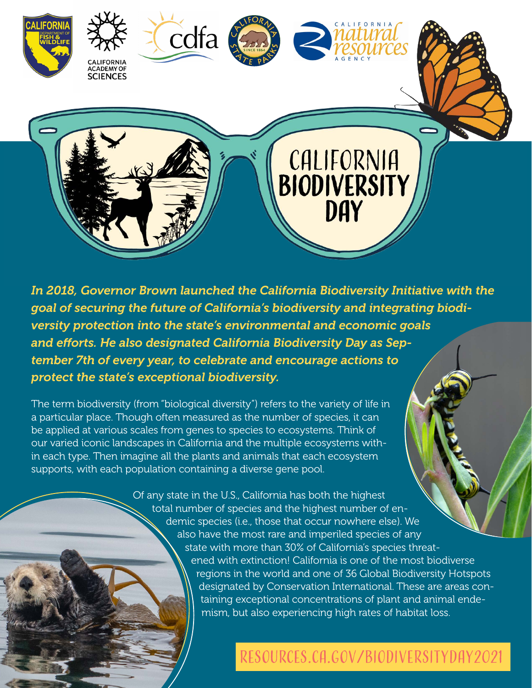

*In 2018, Governor Brown launched the California Biodiversity Initiative with the goal of securing the future of California's biodiversity and integrating biodiversity protection into the state's environmental and economic goals and efforts. He also designated California Biodiversity Day as September 7th of every year, to celebrate and encourage actions to protect the state's exceptional biodiversity.*

The term biodiversity (from "biological diversity") refers to the variety of life in a particular place. Though often measured as the number of species, it can be applied at various scales from genes to species to ecosystems. Think of our varied iconic landscapes in California and the multiple ecosystems within each type. Then imagine all the plants and animals that each ecosystem supports, with each population containing a diverse gene pool.

> Of any state in the U.S., California has both the highest total number of species and the highest number of endemic species (i.e., those that occur nowhere else). We also have the most rare and imperiled species of any state with more than 30% of California's species threatened with extinction! California is one of the most biodiverse regions in the world and one of 36 Global Biodiversity Hotspots designated by Conservation International. These are areas containing exceptional concentrations of plant and animal endemism, but also experiencing high rates of habitat loss.

## [resources.ca.gov/biodiversityday2021](http://resources.ca.gov/biodiversityday2021)